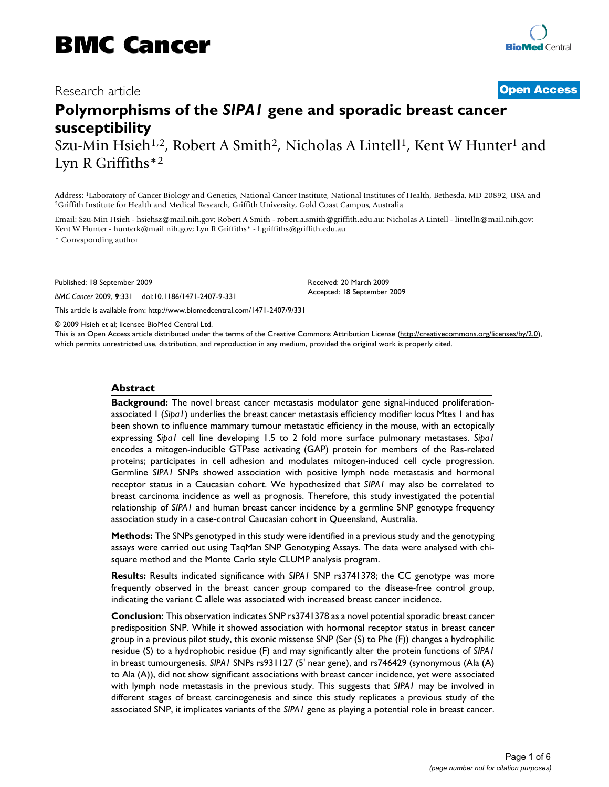# Research article **[Open Access](http://www.biomedcentral.com/info/about/charter/)**

# **Polymorphisms of the** *SIPA1* **gene and sporadic breast cancer susceptibility**

Szu-Min Hsieh<sup>1,2</sup>, Robert A Smith<sup>2</sup>, Nicholas A Lintell<sup>1</sup>, Kent W Hunter<sup>1</sup> and Lyn R Griffiths\*2

Address: <sup>1</sup>Laboratory of Cancer Biology and Genetics, National Cancer Institute, National Institutes of Health, Bethesda, MD 20892, USA and <sup>2</sup>Griffith Institute for Health and Medical Research, Griffith University, Gold

Email: Szu-Min Hsieh - hsiehsz@mail.nih.gov; Robert A Smith - robert.a.smith@griffith.edu.au; Nicholas A Lintell - lintelln@mail.nih.gov; Kent W Hunter - hunterk@mail.nih.gov; Lyn R Griffiths\* - l.griffiths@griffith.edu.au

\* Corresponding author

Published: 18 September 2009

*BMC Cancer* 2009, **9**:331 doi:10.1186/1471-2407-9-331

[This article is available from: http://www.biomedcentral.com/1471-2407/9/331](http://www.biomedcentral.com/1471-2407/9/331)

© 2009 Hsieh et al; licensee BioMed Central Ltd.

This is an Open Access article distributed under the terms of the Creative Commons Attribution License [\(http://creativecommons.org/licenses/by/2.0\)](http://creativecommons.org/licenses/by/2.0), which permits unrestricted use, distribution, and reproduction in any medium, provided the original work is properly cited.

Received: 20 March 2009 Accepted: 18 September 2009

#### **Abstract**

**Background:** The novel breast cancer metastasis modulator gene signal-induced proliferationassociated 1 (*Sipa1*) underlies the breast cancer metastasis efficiency modifier locus Mtes 1 and has been shown to influence mammary tumour metastatic efficiency in the mouse, with an ectopically expressing *Sipa1* cell line developing 1.5 to 2 fold more surface pulmonary metastases. *Sipa1* encodes a mitogen-inducible GTPase activating (GAP) protein for members of the Ras-related proteins; participates in cell adhesion and modulates mitogen-induced cell cycle progression. Germline *SIPA1* SNPs showed association with positive lymph node metastasis and hormonal receptor status in a Caucasian cohort. We hypothesized that *SIPA1* may also be correlated to breast carcinoma incidence as well as prognosis. Therefore, this study investigated the potential relationship of *SIPA1* and human breast cancer incidence by a germline SNP genotype frequency association study in a case-control Caucasian cohort in Queensland, Australia.

**Methods:** The SNPs genotyped in this study were identified in a previous study and the genotyping assays were carried out using TaqMan SNP Genotyping Assays. The data were analysed with chisquare method and the Monte Carlo style CLUMP analysis program.

**Results:** Results indicated significance with *SIPA1* SNP rs3741378; the CC genotype was more frequently observed in the breast cancer group compared to the disease-free control group, indicating the variant C allele was associated with increased breast cancer incidence.

**Conclusion:** This observation indicates SNP rs3741378 as a novel potential sporadic breast cancer predisposition SNP. While it showed association with hormonal receptor status in breast cancer group in a previous pilot study, this exonic missense SNP (Ser (S) to Phe (F)) changes a hydrophilic residue (S) to a hydrophobic residue (F) and may significantly alter the protein functions of *SIPA1* in breast tumourgenesis. *SIPA1* SNPs rs931127 (5' near gene), and rs746429 (synonymous (Ala (A) to Ala (A)), did not show significant associations with breast cancer incidence, yet were associated with lymph node metastasis in the previous study. This suggests that *SIPA1* may be involved in different stages of breast carcinogenesis and since this study replicates a previous study of the associated SNP, it implicates variants of the *SIPA1* gene as playing a potential role in breast cancer.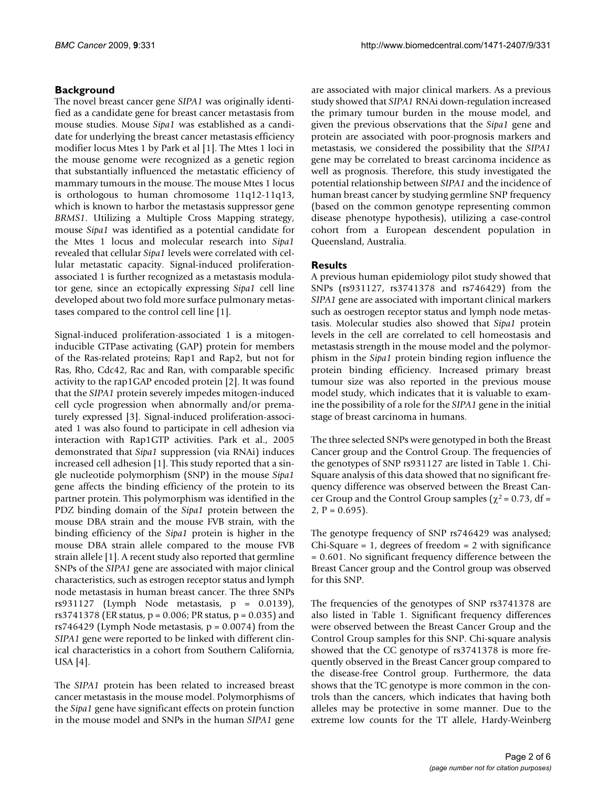### **Background**

The novel breast cancer gene *SIPA1* was originally identified as a candidate gene for breast cancer metastasis from mouse studies. Mouse *Sipa1* was established as a candidate for underlying the breast cancer metastasis efficiency modifier locus Mtes 1 by Park et al [1]. The Mtes 1 loci in the mouse genome were recognized as a genetic region that substantially influenced the metastatic efficiency of mammary tumours in the mouse. The mouse Mtes 1 locus is orthologous to human chromosome 11q12-11q13, which is known to harbor the metastasis suppressor gene *BRMS1*. Utilizing a Multiple Cross Mapping strategy, mouse *Sipa1* was identified as a potential candidate for the Mtes 1 locus and molecular research into *Sipa1* revealed that cellular *Sipa1* levels were correlated with cellular metastatic capacity. Signal-induced proliferationassociated 1 is further recognized as a metastasis modulator gene, since an ectopically expressing *Sipa1* cell line developed about two fold more surface pulmonary metastases compared to the control cell line [1].

Signal-induced proliferation-associated 1 is a mitogeninducible GTPase activating (GAP) protein for members of the Ras-related proteins; Rap1 and Rap2, but not for Ras, Rho, Cdc42, Rac and Ran, with comparable specific activity to the rap1GAP encoded protein [2]. It was found that the *SIPA1* protein severely impedes mitogen-induced cell cycle progression when abnormally and/or prematurely expressed [3]. Signal-induced proliferation-associated 1 was also found to participate in cell adhesion via interaction with Rap1GTP activities. Park et al., 2005 demonstrated that *Sipa1* suppression (via RNAi) induces increased cell adhesion [1]. This study reported that a single nucleotide polymorphism (SNP) in the mouse *Sipa1* gene affects the binding efficiency of the protein to its partner protein. This polymorphism was identified in the PDZ binding domain of the *Sipa1* protein between the mouse DBA strain and the mouse FVB strain, with the binding efficiency of the *Sipa1* protein is higher in the mouse DBA strain allele compared to the mouse FVB strain allele [1]. A recent study also reported that germline SNPs of the *SIPA1* gene are associated with major clinical characteristics, such as estrogen receptor status and lymph node metastasis in human breast cancer. The three SNPs rs931127 (Lymph Node metastasis, p = 0.0139), rs3741378 (ER status, p = 0.006; PR status, p = 0.035) and rs746429 (Lymph Node metastasis,  $p = 0.0074$ ) from the *SIPA1* gene were reported to be linked with different clinical characteristics in a cohort from Southern California, USA [4].

The *SIPA1* protein has been related to increased breast cancer metastasis in the mouse model. Polymorphisms of the *Sipa1* gene have significant effects on protein function in the mouse model and SNPs in the human *SIPA1* gene

are associated with major clinical markers. As a previous study showed that *SIPA1* RNAi down-regulation increased the primary tumour burden in the mouse model, and given the previous observations that the *Sipa1* gene and protein are associated with poor-prognosis markers and metastasis, we considered the possibility that the *SIPA1* gene may be correlated to breast carcinoma incidence as well as prognosis. Therefore, this study investigated the potential relationship between *SIPA1* and the incidence of human breast cancer by studying germline SNP frequency (based on the common genotype representing common disease phenotype hypothesis), utilizing a case-control cohort from a European descendent population in Queensland, Australia.

#### **Results**

A previous human epidemiology pilot study showed that SNPs (rs931127, rs3741378 and rs746429) from the *SIPA1* gene are associated with important clinical markers such as oestrogen receptor status and lymph node metastasis. Molecular studies also showed that *Sipa1* protein levels in the cell are correlated to cell homeostasis and metastasis strength in the mouse model and the polymorphism in the *Sipa1* protein binding region influence the protein binding efficiency. Increased primary breast tumour size was also reported in the previous mouse model study, which indicates that it is valuable to examine the possibility of a role for the *SIPA1* gene in the initial stage of breast carcinoma in humans.

The three selected SNPs were genotyped in both the Breast Cancer group and the Control Group. The frequencies of the genotypes of SNP rs931127 are listed in Table 1. Chi-Square analysis of this data showed that no significant frequency difference was observed between the Breast Cancer Group and the Control Group samples ( $\chi^2$  = 0.73, df =  $2, P = 0.695$ .

The genotype frequency of SNP rs746429 was analysed; Chi-Square  $= 1$ , degrees of freedom  $= 2$  with significance = 0.601. No significant frequency difference between the Breast Cancer group and the Control group was observed for this SNP.

The frequencies of the genotypes of SNP rs3741378 are also listed in Table 1. Significant frequency differences were observed between the Breast Cancer Group and the Control Group samples for this SNP. Chi-square analysis showed that the CC genotype of rs3741378 is more frequently observed in the Breast Cancer group compared to the disease-free Control group. Furthermore, the data shows that the TC genotype is more common in the controls than the cancers, which indicates that having both alleles may be protective in some manner. Due to the extreme low counts for the TT allele, Hardy-Weinberg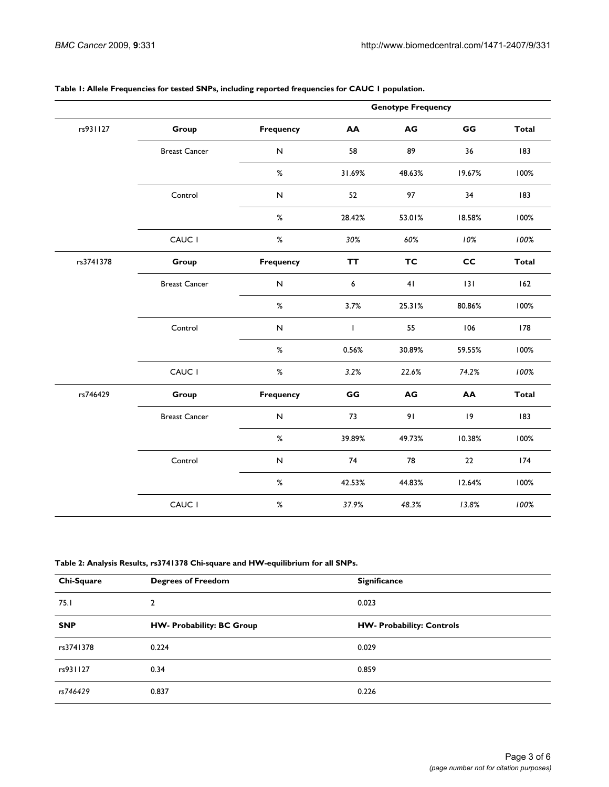|           |                      |                  |              | <b>Genotype Frequency</b> |        |              |
|-----------|----------------------|------------------|--------------|---------------------------|--------|--------------|
| rs931127  | Group                | <b>Frequency</b> | AA           | AG                        | GG     | <b>Total</b> |
|           | <b>Breast Cancer</b> | ${\sf N}$        | 58           | 89                        | 36     | 183          |
|           |                      | $\%$             | 31.69%       | 48.63%                    | 19.67% | 100%         |
|           | Control              | ${\sf N}$        | 52           | 97                        | 34     | 183          |
|           |                      | $\%$             | 28.42%       | 53.01%                    | 18.58% | 100%         |
|           | CAUC I               | $\%$             | 30%          | 60%                       | 10%    | 100%         |
| rs3741378 | Group                | <b>Frequency</b> | <b>TT</b>    | TC                        | cc     | <b>Total</b> |
|           | <b>Breast Cancer</b> | ${\sf N}$        | 6            | 41                        | 131    | 162          |
|           |                      | $\%$             | 3.7%         | 25.31%                    | 80.86% | 100%         |
|           | Control              | ${\sf N}$        | $\mathsf{I}$ | 55                        | 106    | 178          |
|           |                      | $\%$             | 0.56%        | 30.89%                    | 59.55% | 100%         |
|           | CAUC I               | $\%$             | 3.2%         | 22.6%                     | 74.2%  | 100%         |
| rs746429  | Group                | <b>Frequency</b> | GG           | AG                        | AA     | <b>Total</b> |
|           | <b>Breast Cancer</b> | ${\sf N}$        | 73           | 91                        | 9      | 183          |
|           |                      | $\%$             | 39.89%       | 49.73%                    | 10.38% | 100%         |
|           | Control              | ${\sf N}$        | 74           | 78                        | 22     | 174          |
|           |                      | $\%$             | 42.53%       | 44.83%                    | 12.64% | 100%         |
|           | CAUC I               | $\%$             | 37.9%        | 48.3%                     | 13.8%  | 100%         |

#### **Table 1: Allele Frequencies for tested SNPs, including reported frequencies for CAUC 1 population.**

#### **Table 2: Analysis Results, rs3741378 Chi-square and HW-equilibrium for all SNPs.**

| Chi-Square | <b>Degrees of Freedom</b>        | <b>Significance</b>              |
|------------|----------------------------------|----------------------------------|
| 75.I       | $\overline{2}$                   | 0.023                            |
| <b>SNP</b> | <b>HW- Probability: BC Group</b> | <b>HW- Probability: Controls</b> |
| rs3741378  | 0.224                            | 0.029                            |
| rs931127   | 0.34                             | 0.859                            |
| rs746429   | 0.837                            | 0.226                            |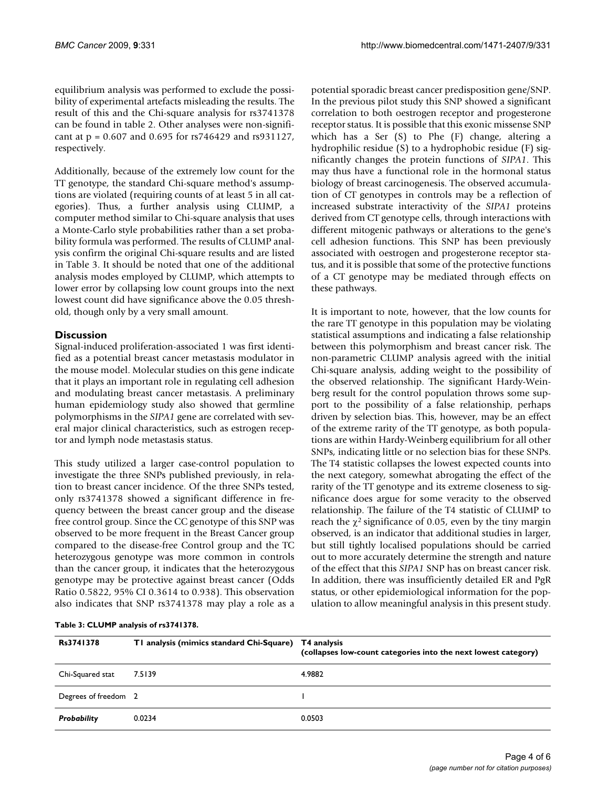equilibrium analysis was performed to exclude the possibility of experimental artefacts misleading the results. The result of this and the Chi-square analysis for rs3741378 can be found in table 2. Other analyses were non-significant at p = 0.607 and 0.695 for rs746429 and rs931127, respectively.

Additionally, because of the extremely low count for the TT genotype, the standard Chi-square method's assumptions are violated (requiring counts of at least 5 in all categories). Thus, a further analysis using CLUMP, a computer method similar to Chi-square analysis that uses a Monte-Carlo style probabilities rather than a set probability formula was performed. The results of CLUMP analysis confirm the original Chi-square results and are listed in Table 3. It should be noted that one of the additional analysis modes employed by CLUMP, which attempts to lower error by collapsing low count groups into the next lowest count did have significance above the 0.05 threshold, though only by a very small amount.

### **Discussion**

Signal-induced proliferation-associated 1 was first identified as a potential breast cancer metastasis modulator in the mouse model. Molecular studies on this gene indicate that it plays an important role in regulating cell adhesion and modulating breast cancer metastasis. A preliminary human epidemiology study also showed that germline polymorphisms in the *SIPA1* gene are correlated with several major clinical characteristics, such as estrogen receptor and lymph node metastasis status.

This study utilized a larger case-control population to investigate the three SNPs published previously, in relation to breast cancer incidence. Of the three SNPs tested, only rs3741378 showed a significant difference in frequency between the breast cancer group and the disease free control group. Since the CC genotype of this SNP was observed to be more frequent in the Breast Cancer group compared to the disease-free Control group and the TC heterozygous genotype was more common in controls than the cancer group, it indicates that the heterozygous genotype may be protective against breast cancer (Odds Ratio 0.5822, 95% CI 0.3614 to 0.938). This observation also indicates that SNP rs3741378 may play a role as a potential sporadic breast cancer predisposition gene/SNP. In the previous pilot study this SNP showed a significant correlation to both oestrogen receptor and progesterone receptor status. It is possible that this exonic missense SNP which has a Ser (S) to Phe (F) change, altering a hydrophilic residue (S) to a hydrophobic residue (F) significantly changes the protein functions of *SIPA1*. This may thus have a functional role in the hormonal status biology of breast carcinogenesis. The observed accumulation of CT genotypes in controls may be a reflection of increased substrate interactivity of the *SIPA1* proteins derived from CT genotype cells, through interactions with different mitogenic pathways or alterations to the gene's cell adhesion functions. This SNP has been previously associated with oestrogen and progesterone receptor status, and it is possible that some of the protective functions of a CT genotype may be mediated through effects on these pathways.

It is important to note, however, that the low counts for the rare TT genotype in this population may be violating statistical assumptions and indicating a false relationship between this polymorphism and breast cancer risk. The non-parametric CLUMP analysis agreed with the initial Chi-square analysis, adding weight to the possibility of the observed relationship. The significant Hardy-Weinberg result for the control population throws some support to the possibility of a false relationship, perhaps driven by selection bias. This, however, may be an effect of the extreme rarity of the TT genotype, as both populations are within Hardy-Weinberg equilibrium for all other SNPs, indicating little or no selection bias for these SNPs. The T4 statistic collapses the lowest expected counts into the next category, somewhat abrogating the effect of the rarity of the TT genotype and its extreme closeness to significance does argue for some veracity to the observed relationship. The failure of the T4 statistic of CLUMP to reach the  $\gamma^2$  significance of 0.05, even by the tiny margin observed, is an indicator that additional studies in larger, but still tightly localised populations should be carried out to more accurately determine the strength and nature of the effect that this *SIPA1* SNP has on breast cancer risk. In addition, there was insufficiently detailed ER and PgR status, or other epidemiological information for the population to allow meaningful analysis in this present study.

| Table 3: CLUMP analysis of rs3741378. |  |  |
|---------------------------------------|--|--|
|---------------------------------------|--|--|

| Rs3741378            | TI analysis (mimics standard Chi-Square) | T4 analysis<br>(collapses low-count categories into the next lowest category) |
|----------------------|------------------------------------------|-------------------------------------------------------------------------------|
| Chi-Squared stat     | 7.5139                                   | 4.9882                                                                        |
| Degrees of freedom 2 |                                          |                                                                               |
| Probability          | 0.0234                                   | 0.0503                                                                        |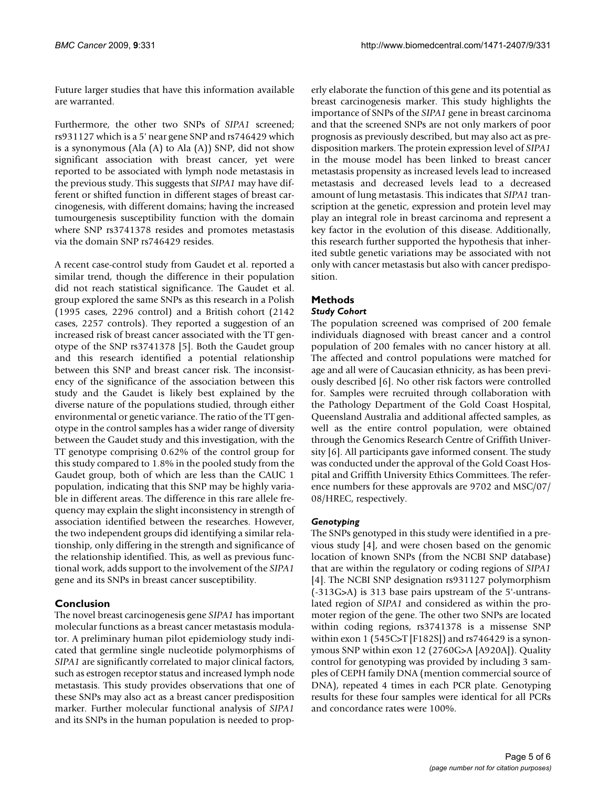Future larger studies that have this information available are warranted.

Furthermore, the other two SNPs of *SIPA1* screened; rs931127 which is a 5' near gene SNP and rs746429 which is a synonymous (Ala (A) to Ala (A)) SNP, did not show significant association with breast cancer, yet were reported to be associated with lymph node metastasis in the previous study. This suggests that *SIPA1* may have different or shifted function in different stages of breast carcinogenesis, with different domains; having the increased tumourgenesis susceptibility function with the domain where SNP rs3741378 resides and promotes metastasis via the domain SNP rs746429 resides.

A recent case-control study from Gaudet et al. reported a similar trend, though the difference in their population did not reach statistical significance. The Gaudet et al. group explored the same SNPs as this research in a Polish (1995 cases, 2296 control) and a British cohort (2142 cases, 2257 controls). They reported a suggestion of an increased risk of breast cancer associated with the TT genotype of the SNP rs3741378 [5]. Both the Gaudet group and this research identified a potential relationship between this SNP and breast cancer risk. The inconsistency of the significance of the association between this study and the Gaudet is likely best explained by the diverse nature of the populations studied, through either environmental or genetic variance. The ratio of the TT genotype in the control samples has a wider range of diversity between the Gaudet study and this investigation, with the TT genotype comprising 0.62% of the control group for this study compared to 1.8% in the pooled study from the Gaudet group, both of which are less than the CAUC 1 population, indicating that this SNP may be highly variable in different areas. The difference in this rare allele frequency may explain the slight inconsistency in strength of association identified between the researches. However, the two independent groups did identifying a similar relationship, only differing in the strength and significance of the relationship identified. This, as well as previous functional work, adds support to the involvement of the *SIPA1* gene and its SNPs in breast cancer susceptibility.

### **Conclusion**

The novel breast carcinogenesis gene *SIPA1* has important molecular functions as a breast cancer metastasis modulator. A preliminary human pilot epidemiology study indicated that germline single nucleotide polymorphisms of *SIPA1* are significantly correlated to major clinical factors, such as estrogen receptor status and increased lymph node metastasis. This study provides observations that one of these SNPs may also act as a breast cancer predisposition marker. Further molecular functional analysis of *SIPA1* and its SNPs in the human population is needed to properly elaborate the function of this gene and its potential as breast carcinogenesis marker. This study highlights the importance of SNPs of the *SIPA1* gene in breast carcinoma and that the screened SNPs are not only markers of poor prognosis as previously described, but may also act as predisposition markers. The protein expression level of *SIPA1* in the mouse model has been linked to breast cancer metastasis propensity as increased levels lead to increased metastasis and decreased levels lead to a decreased amount of lung metastasis. This indicates that *SIPA1* transcription at the genetic, expression and protein level may play an integral role in breast carcinoma and represent a key factor in the evolution of this disease. Additionally, this research further supported the hypothesis that inherited subtle genetic variations may be associated with not only with cancer metastasis but also with cancer predisposition.

## **Methods**

#### *Study Cohort*

The population screened was comprised of 200 female individuals diagnosed with breast cancer and a control population of 200 females with no cancer history at all. The affected and control populations were matched for age and all were of Caucasian ethnicity, as has been previously described [6]. No other risk factors were controlled for. Samples were recruited through collaboration with the Pathology Department of the Gold Coast Hospital, Queensland Australia and additional affected samples, as well as the entire control population, were obtained through the Genomics Research Centre of Griffith University [6]. All participants gave informed consent. The study was conducted under the approval of the Gold Coast Hospital and Griffith University Ethics Committees. The reference numbers for these approvals are 9702 and MSC/07/ 08/HREC, respectively.

#### *Genotyping*

The SNPs genotyped in this study were identified in a previous study [4], and were chosen based on the genomic location of known SNPs (from the NCBI SNP database) that are within the regulatory or coding regions of *SIPA1* [4]. The NCBI SNP designation rs931127 polymorphism (-313G>A) is 313 base pairs upstream of the 5'-untranslated region of *SIPA1* and considered as within the promoter region of the gene. The other two SNPs are located within coding regions, rs3741378 is a missense SNP within exon 1 (545C>T [F182S]) and rs746429 is a synonymous SNP within exon 12 (2760G>A [A920A]). Quality control for genotyping was provided by including 3 samples of CEPH family DNA (mention commercial source of DNA), repeated 4 times in each PCR plate. Genotyping results for these four samples were identical for all PCRs and concordance rates were 100%.